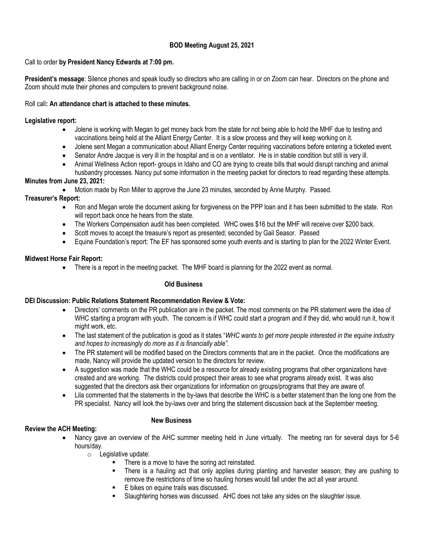# **BOD Meeting August 25, 2021**

### Call to order **by President Nancy Edwards at 7:00 pm.**

**President's message**: Silence phones and speak loudly so directors who are calling in or on Zoom can hear. Directors on the phone and Zoom should mute their phones and computers to prevent background noise.

### Roll call**: An attendance chart is attached to these minutes.**

### **Legislative report:**

- Jolene is working with Megan to get money back from the state for not being able to hold the MHF due to testing and vaccinations being held at the Alliant Energy Center. It is a slow process and they will keep working on it.
- Jolene sent Megan a communication about Alliant Energy Center requiring vaccinations before entering a ticketed event.
- Senator Andre Jacque is very ill in the hospital and is on a ventilator. He is in stable condition but still is very ill.
- Animal Wellness Action report- groups in Idaho and CO are trying to create bills that would disrupt ranching and animal husbandry processes. Nancy put some information in the meeting packet for directors to read regarding these attempts.

### **Minutes from June 23, 2021:**

• Motion made by Ron Miller to approve the June 23 minutes, seconded by Anne Murphy. Passed.

## **Treasurer's Report:**

- Ron and Megan wrote the document asking for forgiveness on the PPP loan and it has been submitted to the state. Ron will report back once he hears from the state.
- The Workers Compensation audit has been completed. WHC owes \$16 but the MHF will receive over \$200 back.
- Scott moves to accept the treasure's report as presented; seconded by Gail Seasor. Passed
- Equine Foundation's report: The EF has sponsored some youth events and is starting to plan for the 2022 Winter Event.

### **Midwest Horse Fair Report:**

• There is a report in the meeting packet. The MHF board is planning for the 2022 event as normal.

### **Old Business**

## **DEI Discussion: Public Relations Statement Recommendation Review & Vote:**

- Directors' comments on the PR publication are in the packet. The most comments on the PR statement were the idea of WHC starting a program with youth. The concern is if WHC could start a program and if they did, who would run it, how it might work, etc.
- The last statement of the publication is good as it states "*WHC wants to get more people interested in the equine industry and hopes to increasingly do more as it is financially able".*
- The PR statement will be modified based on the Directors comments that are in the packet. Once the modifications are made, Nancy will provide the updated version to the directors for review.
- A suggestion was made that the WHC could be a resource for already existing programs that other organizations have created and are working. The districts could prospect their areas to see what programs already exist. It was also suggested that the directors ask their organizations for information on groups/programs that they are aware of.
- Lila commented that the statements in the by-laws that describe the WHC is a better statement than the long one from the PR specialist. Nancy will look the by-laws over and bring the statement discussion back at the September meeting.

### **New Business**

## **Review the ACH Meeting:**

- Nancy gave an overview of the AHC summer meeting held in June virtually. The meeting ran for several days for 5-6 hours/day.
	- o Legislative update:
		- There is a move to have the soring act reinstated.
		- There is a hauling act that only applies during planting and harvester season; they are pushing to remove the restrictions of time so hauling horses would fall under the act all year around.
		- E bikes on equine trails was discussed.
		- Slaughtering horses was discussed. AHC does not take any sides on the slaughter issue.